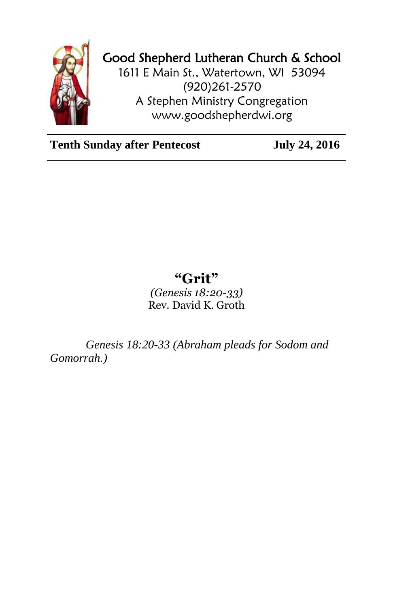

## Good Shepherd Lutheran Church & School

1611 E Main St., Watertown, WI 53094 (920)261-2570 A Stephen Ministry Congregation [www.goodshepherdwi.org](http://www.goodshepherdwi.org/)

**Tenth Sunday after Pentecost July 24, 2016**

## **"Grit"**

*(Genesis 18:20-33)* Rev. David K. Groth

*Genesis 18:20-33 (Abraham pleads for Sodom and Gomorrah.)*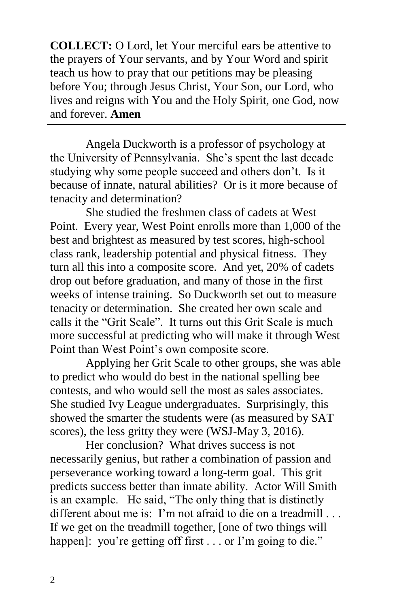**COLLECT:** O Lord, let Your merciful ears be attentive to the prayers of Your servants, and by Your Word and spirit teach us how to pray that our petitions may be pleasing before You; through Jesus Christ, Your Son, our Lord, who lives and reigns with You and the Holy Spirit, one God, now and forever. **Amen**

Angela Duckworth is a professor of psychology at the University of Pennsylvania. She's spent the last decade studying why some people succeed and others don't. Is it because of innate, natural abilities? Or is it more because of tenacity and determination?

She studied the freshmen class of cadets at West Point. Every year, West Point enrolls more than 1,000 of the best and brightest as measured by test scores, high-school class rank, leadership potential and physical fitness. They turn all this into a composite score. And yet, 20% of cadets drop out before graduation, and many of those in the first weeks of intense training. So Duckworth set out to measure tenacity or determination. She created her own scale and calls it the "Grit Scale". It turns out this Grit Scale is much more successful at predicting who will make it through West Point than West Point's own composite score.

Applying her Grit Scale to other groups, she was able to predict who would do best in the national spelling bee contests, and who would sell the most as sales associates. She studied Ivy League undergraduates. Surprisingly, this showed the smarter the students were (as measured by SAT scores), the less gritty they were (WSJ-May 3, 2016).

Her conclusion? What drives success is not necessarily genius, but rather a combination of passion and perseverance working toward a long-term goal. This grit predicts success better than innate ability. Actor Will Smith is an example. He said, "The only thing that is distinctly different about me is: I'm not afraid to die on a treadmill . . . If we get on the treadmill together, [one of two things will happen]: you're getting off first . . . or I'm going to die."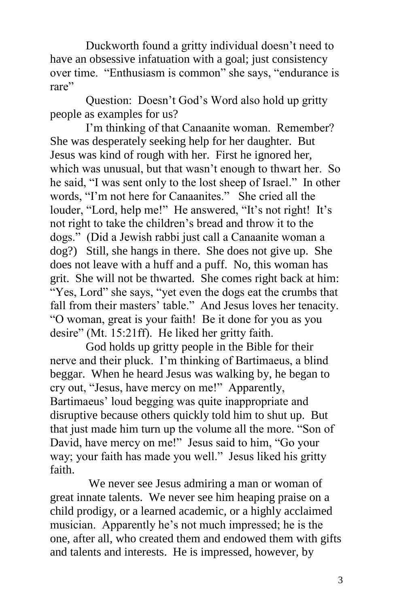Duckworth found a gritty individual doesn't need to have an obsessive infatuation with a goal; just consistency over time. "Enthusiasm is common" she says, "endurance is rare"

Question: Doesn't God's Word also hold up gritty people as examples for us?

I'm thinking of that Canaanite woman. Remember? She was desperately seeking help for her daughter. But Jesus was kind of rough with her. First he ignored her, which was unusual, but that wasn't enough to thwart her. So he said, "I was sent only to the lost sheep of Israel." In other words, "I'm not here for Canaanites." She cried all the louder, "Lord, help me!" He answered, "It's not right! It's not right to take the children's bread and throw it to the dogs." (Did a Jewish rabbi just call a Canaanite woman a dog?) Still, she hangs in there. She does not give up. She does not leave with a huff and a puff. No, this woman has grit. She will not be thwarted. She comes right back at him: "Yes, Lord" she says, "yet even the dogs eat the crumbs that fall from their masters' table." And Jesus loves her tenacity. "O woman, great is your faith! Be it done for you as you desire" (Mt. 15:21ff). He liked her gritty faith.

God holds up gritty people in the Bible for their nerve and their pluck. I'm thinking of Bartimaeus, a blind beggar. When he heard Jesus was walking by, he began to cry out, "Jesus, have mercy on me!" Apparently, Bartimaeus' loud begging was quite inappropriate and disruptive because others quickly told him to shut up. But that just made him turn up the volume all the more. "Son of David, have mercy on me!" Jesus said to him, "Go your way; your faith has made you well." Jesus liked his gritty faith.

We never see Jesus admiring a man or woman of great innate talents. We never see him heaping praise on a child prodigy, or a learned academic, or a highly acclaimed musician. Apparently he's not much impressed; he is the one, after all, who created them and endowed them with gifts and talents and interests. He is impressed, however, by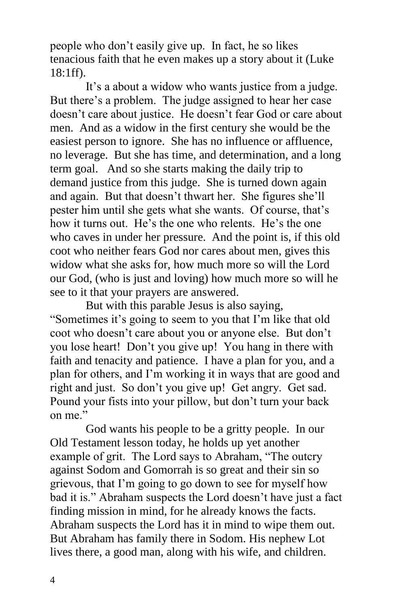people who don't easily give up. In fact, he so likes tenacious faith that he even makes up a story about it (Luke 18:1ff).

It's a about a widow who wants justice from a judge. But there's a problem. The judge assigned to hear her case doesn't care about justice. He doesn't fear God or care about men. And as a widow in the first century she would be the easiest person to ignore. She has no influence or affluence, no leverage. But she has time, and determination, and a long term goal. And so she starts making the daily trip to demand justice from this judge. She is turned down again and again. But that doesn't thwart her. She figures she'll pester him until she gets what she wants. Of course, that's how it turns out. He's the one who relents. He's the one who caves in under her pressure. And the point is, if this old coot who neither fears God nor cares about men, gives this widow what she asks for, how much more so will the Lord our God, (who is just and loving) how much more so will he see to it that your prayers are answered.

But with this parable Jesus is also saying, "Sometimes it's going to seem to you that I'm like that old coot who doesn't care about you or anyone else. But don't you lose heart! Don't you give up! You hang in there with faith and tenacity and patience. I have a plan for you, and a plan for others, and I'm working it in ways that are good and right and just. So don't you give up! Get angry. Get sad. Pound your fists into your pillow, but don't turn your back on me."

God wants his people to be a gritty people. In our Old Testament lesson today, he holds up yet another example of grit. The Lord says to Abraham, "The outcry against Sodom and Gomorrah is so great and their sin so grievous, that I'm going to go down to see for myself how bad it is." Abraham suspects the Lord doesn't have just a fact finding mission in mind, for he already knows the facts. Abraham suspects the Lord has it in mind to wipe them out. But Abraham has family there in Sodom. His nephew Lot lives there, a good man, along with his wife, and children.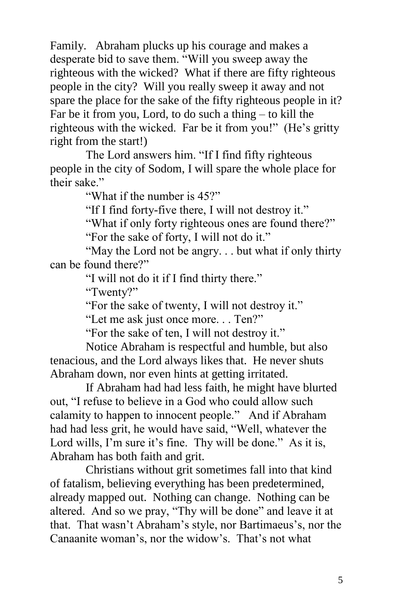Family. Abraham plucks up his courage and makes a desperate bid to save them. "Will you sweep away the righteous with the wicked? What if there are fifty righteous people in the city? Will you really sweep it away and not spare the place for the sake of the fifty righteous people in it? Far be it from you, Lord, to do such a thing – to kill the righteous with the wicked. Far be it from you!" (He's gritty right from the start!)

The Lord answers him. "If I find fifty righteous people in the city of Sodom, I will spare the whole place for their sake."

"What if the number is 45?"

"If I find forty-five there, I will not destroy it."

"What if only forty righteous ones are found there?" "For the sake of forty, I will not do it."

"May the Lord not be angry. . . but what if only thirty can be found there?"

"I will not do it if I find thirty there."

"Twenty?"

"For the sake of twenty, I will not destroy it."

"Let me ask just once more. . . Ten?"

"For the sake of ten, I will not destroy it."

Notice Abraham is respectful and humble, but also tenacious, and the Lord always likes that. He never shuts Abraham down, nor even hints at getting irritated.

If Abraham had had less faith, he might have blurted out, "I refuse to believe in a God who could allow such calamity to happen to innocent people." And if Abraham had had less grit, he would have said, "Well, whatever the Lord wills, I'm sure it's fine. Thy will be done." As it is, Abraham has both faith and grit.

Christians without grit sometimes fall into that kind of fatalism, believing everything has been predetermined, already mapped out. Nothing can change. Nothing can be altered. And so we pray, "Thy will be done" and leave it at that. That wasn't Abraham's style, nor Bartimaeus's, nor the Canaanite woman's, nor the widow's. That's not what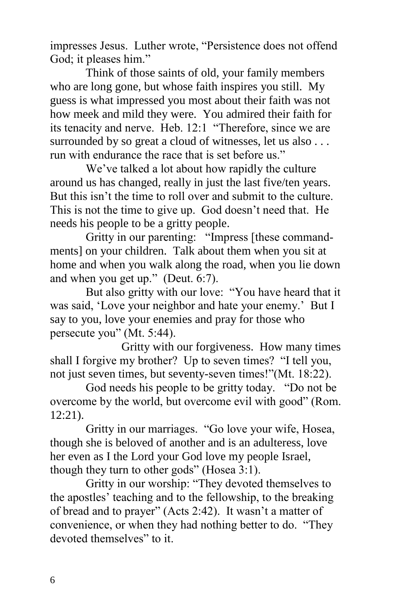impresses Jesus. Luther wrote, "Persistence does not offend God; it pleases him."

Think of those saints of old, your family members who are long gone, but whose faith inspires you still. My guess is what impressed you most about their faith was not how meek and mild they were. You admired their faith for its tenacity and nerve. Heb. 12:1 "Therefore, since we are surrounded by so great a cloud of witnesses, let us also . . . run with endurance the race that is set before us."

We've talked a lot about how rapidly the culture around us has changed, really in just the last five/ten years. But this isn't the time to roll over and submit to the culture. This is not the time to give up. God doesn't need that. He needs his people to be a gritty people.

Gritty in our parenting: "Impress [these commandments] on your children. Talk about them when you sit at home and when you walk along the road, when you lie down and when you get up." (Deut. 6:7).

But also gritty with our love: "You have heard that it was said, 'Love your neighbor and hate your enemy.' But I say to you, love your enemies and pray for those who persecute you" (Mt. 5:44).

Gritty with our forgiveness. How many times shall I forgive my brother? Up to seven times? "I tell you, not just seven times, but seventy-seven times!"(Mt. 18:22).

God needs his people to be gritty today. "Do not be overcome by the world, but overcome evil with good" (Rom. 12:21).

Gritty in our marriages. "Go love your wife, Hosea, though she is beloved of another and is an adulteress, love her even as I the Lord your God love my people Israel, though they turn to other gods" (Hosea 3:1).

Gritty in our worship: "They devoted themselves to the apostles' teaching and to the fellowship, to the breaking of bread and to prayer" (Acts 2:42). It wasn't a matter of convenience, or when they had nothing better to do. "They devoted themselves" to it.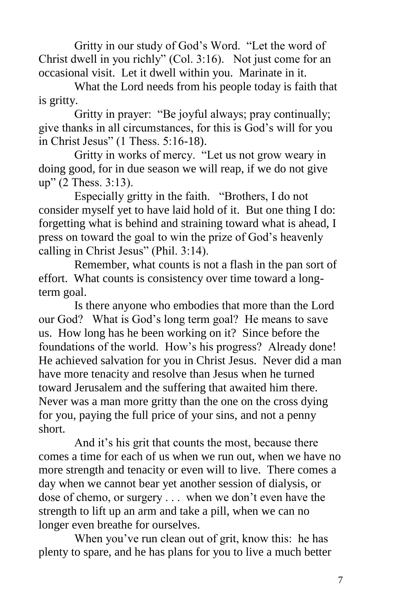Gritty in our study of God's Word. "Let the word of Christ dwell in you richly" (Col. 3:16). Not just come for an occasional visit. Let it dwell within you. Marinate in it.

What the Lord needs from his people today is faith that is gritty.

Gritty in prayer: "Be joyful always; pray continually; give thanks in all circumstances, for this is God's will for you in Christ Jesus" (1 Thess. 5:16-18).

Gritty in works of mercy. "Let us not grow weary in doing good, for in due season we will reap, if we do not give up" (2 Thess. 3:13).

Especially gritty in the faith. "Brothers, I do not consider myself yet to have laid hold of it. But one thing I do: forgetting what is behind and straining toward what is ahead, I press on toward the goal to win the prize of God's heavenly calling in Christ Jesus" (Phil. 3:14).

Remember, what counts is not a flash in the pan sort of effort. What counts is consistency over time toward a longterm goal.

Is there anyone who embodies that more than the Lord our God? What is God's long term goal? He means to save us. How long has he been working on it? Since before the foundations of the world. How's his progress? Already done! He achieved salvation for you in Christ Jesus. Never did a man have more tenacity and resolve than Jesus when he turned toward Jerusalem and the suffering that awaited him there. Never was a man more gritty than the one on the cross dying for you, paying the full price of your sins, and not a penny short.

And it's his grit that counts the most, because there comes a time for each of us when we run out, when we have no more strength and tenacity or even will to live. There comes a day when we cannot bear yet another session of dialysis, or dose of chemo, or surgery . . . when we don't even have the strength to lift up an arm and take a pill, when we can no longer even breathe for ourselves.

When you've run clean out of grit, know this: he has plenty to spare, and he has plans for you to live a much better